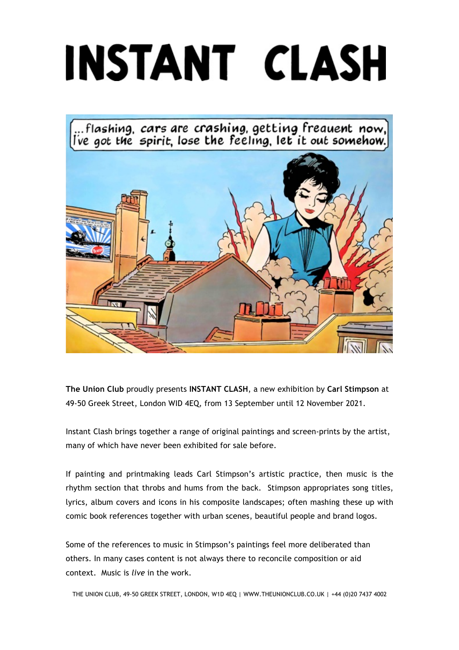## INSTANT CLASH

...flashing, cars are crashing, getting freauent now,<br>ve got the spirit, lose the feeling, let it out somehow.



**The Union Club** proudly presents **INSTANT CLASH**, a new exhibition by **Carl Stimpson** at 49-50 Greek Street, London WID 4EQ, from 13 September until 12 November 2021.

Instant Clash brings together a range of original paintings and screen-prints by the artist, many of which have never been exhibited for sale before.

If painting and printmaking leads Carl Stimpson's artistic practice, then music is the rhythm section that throbs and hums from the back. Stimpson appropriates song titles, lyrics, album covers and icons in his composite landscapes; often mashing these up with comic book references together with urban scenes, beautiful people and brand logos.

Some of the references to music in Stimpson's paintings feel more deliberated than others. In many cases content is not always there to reconcile composition or aid context. Music is *live* in the work.

THE UNION CLUB, 49-50 GREEK STREET, LONDON, W1D 4EQ | WWW.THEUNIONCLUB.CO.UK | +44 (0)20 7437 4002